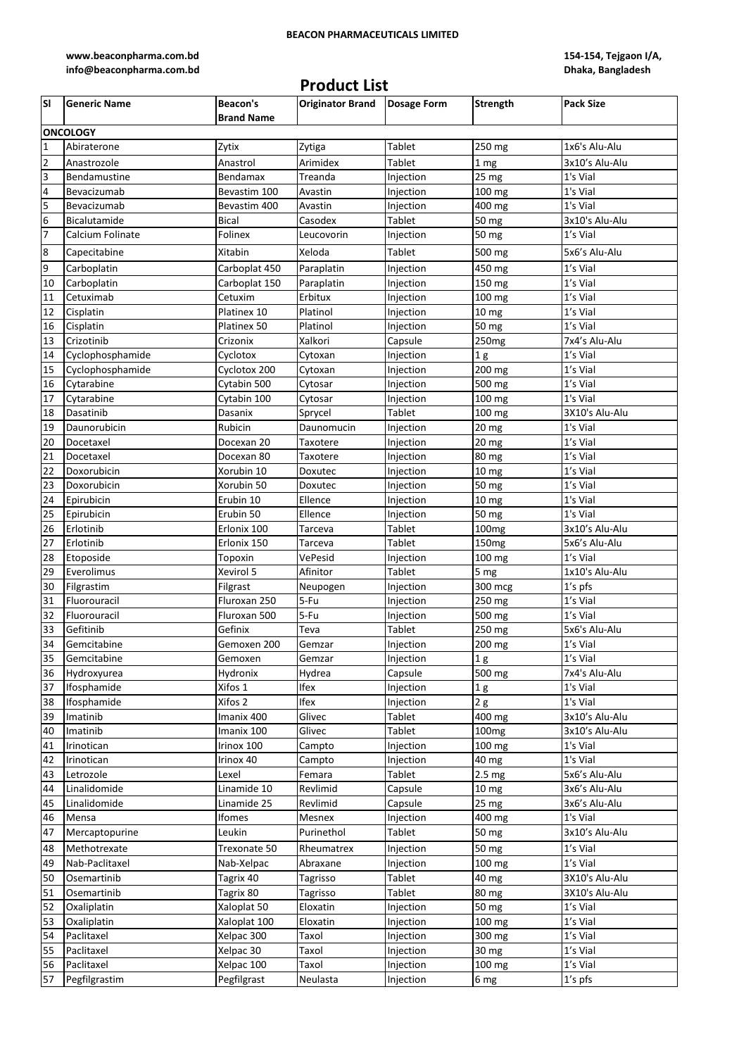## **BEACON PHARMACEUTICALS LIMITED**

**[www.beaconpharma.com.bd](http://www.beaconpharma.com.bd/)  [info@beaconpharma.com.bd](http://www.beaconpharma.com.bd/)**

## **Product List**

**154-154, Tejgaon I/A, Dhaka, Bangladesh**

| lsı              | <b>Generic Name</b> | <b>Beacon's</b>   | <b>Originator Brand</b> | <b>Dosage Form</b> | <b>Strength</b>   | <b>Pack Size</b> |  |  |  |
|------------------|---------------------|-------------------|-------------------------|--------------------|-------------------|------------------|--|--|--|
|                  |                     | <b>Brand Name</b> |                         |                    |                   |                  |  |  |  |
| <b>ONCOLOGY</b>  |                     |                   |                         |                    |                   |                  |  |  |  |
| $\mathbf{1}$     | Abiraterone         | Zytix             | Zytiga                  | Tablet             | 250 mg            | 1x6's Alu-Alu    |  |  |  |
| $\overline{2}$   | Anastrozole         | Anastrol          | Arimidex                | Tablet             | 1 <sub>mg</sub>   | 3x10's Alu-Alu   |  |  |  |
| 3                | Bendamustine        | Bendamax          | Treanda                 | Injection          | $25$ mg           | 1's Vial         |  |  |  |
| 4                | Bevacizumab         | Bevastim 100      | Avastin                 | Injection          | 100 mg            | 1's Vial         |  |  |  |
| 5                | Bevacizumab         | Bevastim 400      | Avastin                 | Injection          | 400 mg            | 1's Vial         |  |  |  |
| 6                | Bicalutamide        | <b>Bical</b>      | Casodex                 | Tablet             | 50 <sub>mg</sub>  | 3x10's Alu-Alu   |  |  |  |
| $\overline{7}$   | Calcium Folinate    | Folinex           | Leucovorin              | Injection          | 50 mg             | 1's Vial         |  |  |  |
| $\boldsymbol{8}$ | Capecitabine        | Xitabin           | Xeloda                  | Tablet             | 500 mg            | 5x6's Alu-Alu    |  |  |  |
| 9                | Carboplatin         | Carboplat 450     | Paraplatin              | Injection          | 450 mg            | 1's Vial         |  |  |  |
| 10               | Carboplatin         | Carboplat 150     | Paraplatin              | Injection          | 150 mg            | 1's Vial         |  |  |  |
| 11               | Cetuximab           | Cetuxim           | Erbitux                 | Injection          | 100 mg            | 1's Vial         |  |  |  |
| 12               | Cisplatin           | Platinex 10       | Platinol                | Injection          | 10 <sub>mg</sub>  | 1's Vial         |  |  |  |
| 16               | Cisplatin           | Platinex 50       | Platinol                | Injection          | 50 mg             | 1's Vial         |  |  |  |
| 13               | Crizotinib          | Crizonix          | Xalkori                 | Capsule            | 250 <sub>mg</sub> | 7x4's Alu-Alu    |  |  |  |
| 14               | Cyclophosphamide    | Cyclotox          | Cytoxan                 | Injection          |                   | 1's Vial         |  |  |  |
| 15               |                     | Cyclotox 200      |                         |                    | 1 <sub>g</sub>    | 1's Vial         |  |  |  |
|                  | Cyclophosphamide    |                   | Cytoxan                 | Injection          | 200 mg            | 1's Vial         |  |  |  |
| 16               | Cytarabine          | Cytabin 500       | Cytosar                 | Injection          | 500 mg            |                  |  |  |  |
| 17               | Cytarabine          | Cytabin 100       | Cytosar                 | Injection          | 100 mg            | 1's Vial         |  |  |  |
| 18               | Dasatinib           | Dasanix           | Sprycel                 | Tablet             | 100 mg            | 3X10's Alu-Alu   |  |  |  |
| 19               | Daunorubicin        | Rubicin           | Daunomucin              | Injection          | 20 <sub>mg</sub>  | 1's Vial         |  |  |  |
| 20               | Docetaxel           | Docexan 20        | Taxotere                | Injection          | $20$ mg           | 1's Vial         |  |  |  |
| 21               | Docetaxel           | Docexan 80        | Taxotere                | Injection          | 80 mg             | 1's Vial         |  |  |  |
| 22               | Doxorubicin         | Xorubin 10        | Doxutec                 | Injection          | 10 <sub>mg</sub>  | 1's Vial         |  |  |  |
| 23               | Doxorubicin         | Xorubin 50        | Doxutec                 | Injection          | 50 mg             | 1's Vial         |  |  |  |
| 24               | Epirubicin          | Erubin 10         | Ellence                 | Injection          | 10 mg             | 1's Vial         |  |  |  |
| 25               | Epirubicin          | Erubin 50         | Ellence                 | Injection          | 50 mg             | 1's Vial         |  |  |  |
| 26               | Erlotinib           | Erlonix 100       | Tarceva                 | Tablet             | 100 <sub>mg</sub> | 3x10's Alu-Alu   |  |  |  |
| 27               | Erlotinib           | Erlonix 150       | Tarceva                 | Tablet             | 150 <sub>mg</sub> | 5x6's Alu-Alu    |  |  |  |
| 28               | Etoposide           | Topoxin           | VePesid                 | Injection          | 100 mg            | 1's Vial         |  |  |  |
| 29               | Everolimus          | Xevirol 5         | Afinitor                | Tablet             | 5 mg              | 1x10's Alu-Alu   |  |  |  |
| 30               | Filgrastim          | Filgrast          | Neupogen                | Injection          | 300 mcg           | 1's pfs          |  |  |  |
| 31               | Fluorouracil        | Fluroxan 250      | 5-Fu                    | Injection          | 250 mg            | 1's Vial         |  |  |  |
| 32               | Fluorouracil        | Fluroxan 500      | 5-Fu                    | Injection          | 500 mg            | 1's Vial         |  |  |  |
| 33               | Gefitinib           | Gefinix           | Teva                    | Tablet             | 250 mg            | 5x6's Alu-Alu    |  |  |  |
| 34               | Gemcitabine         | Gemoxen 200       | Gemzar                  | Injection          | 200 mg            | 1's Vial         |  |  |  |
| 35               | Gemcitabine         | Gemoxen           | Gemzar                  | Injection          | 1 <sub>g</sub>    | 1's Vial         |  |  |  |
| 36               | Hydroxyurea         | Hydronix          | Hydrea                  | Capsule            | 500 mg            | 7x4's Alu-Alu    |  |  |  |
| 37               | Ifosphamide         | Xifos 1           | Ifex                    | Injection          | 1 <sub>g</sub>    | 1's Vial         |  |  |  |
| 38               | Ifosphamide         | Xifos 2           | Ifex                    | Injection          | 2g                | 1's Vial         |  |  |  |
| 39               | Imatinib            | Imanix 400        | Glivec                  | Tablet             | 400 mg            | 3x10's Alu-Alu   |  |  |  |
| 40               | Imatinib            | Imanix 100        | Glivec                  | Tablet             | 100 <sub>mg</sub> | 3x10's Alu-Alu   |  |  |  |
| 41               | Irinotican          | Irinox 100        | Campto                  | Injection          | 100 mg            | 1's Vial         |  |  |  |
| 42               | Irinotican          | Irinox 40         | Campto                  | Injection          | 40 mg             | 1's Vial         |  |  |  |
| 43               | Letrozole           | Lexel             | Femara                  | Tablet             | 2.5 <sub>mg</sub> | 5x6's Alu-Alu    |  |  |  |
| 44               | Linalidomide        | Linamide 10       | Revlimid                | Capsule            | 10 mg             | 3x6's Alu-Alu    |  |  |  |
| 45               | Linalidomide        | Linamide 25       | Revlimid                | Capsule            | 25 <sub>mg</sub>  | 3x6's Alu-Alu    |  |  |  |
| 46               | Mensa               | Ifomes            | Mesnex                  | Injection          | 400 mg            | 1's Vial         |  |  |  |
| 47               | Mercaptopurine      | Leukin            | Purinethol              | Tablet             | 50 mg             | 3x10's Alu-Alu   |  |  |  |
| 48               | Methotrexate        | Trexonate 50      | Rheumatrex              | Injection          | 50 mg             | 1's Vial         |  |  |  |
| 49               | Nab-Paclitaxel      | Nab-Xelpac        | Abraxane                | Injection          | 100 mg            | 1's Vial         |  |  |  |
| 50               | Osemartinib         | Tagrix 40         | Tagrisso                | Tablet             | 40 mg             | 3X10's Alu-Alu   |  |  |  |
| 51               | Osemartinib         | Tagrix 80         | Tagrisso                | Tablet             | 80 mg             | 3X10's Alu-Alu   |  |  |  |
| 52               | Oxaliplatin         | Xaloplat 50       | Eloxatin                | Injection          | 50 mg             | 1's Vial         |  |  |  |
| 53               | Oxaliplatin         | Xaloplat 100      | Eloxatin                | Injection          | 100 mg            | 1's Vial         |  |  |  |
| 54               | Paclitaxel          | Xelpac 300        | Taxol                   | Injection          | 300 mg            | 1's Vial         |  |  |  |
| 55               | Paclitaxel          | Xelpac 30         | Taxol                   | Injection          | 30 mg             | 1's Vial         |  |  |  |
| 56               | Paclitaxel          | Xelpac 100        | Taxol                   | Injection          | 100 mg            | 1's Vial         |  |  |  |
| 57               | Pegfilgrastim       | Pegfilgrast       | Neulasta                | Injection          | 6 mg              | 1's pfs          |  |  |  |
|                  |                     |                   |                         |                    |                   |                  |  |  |  |